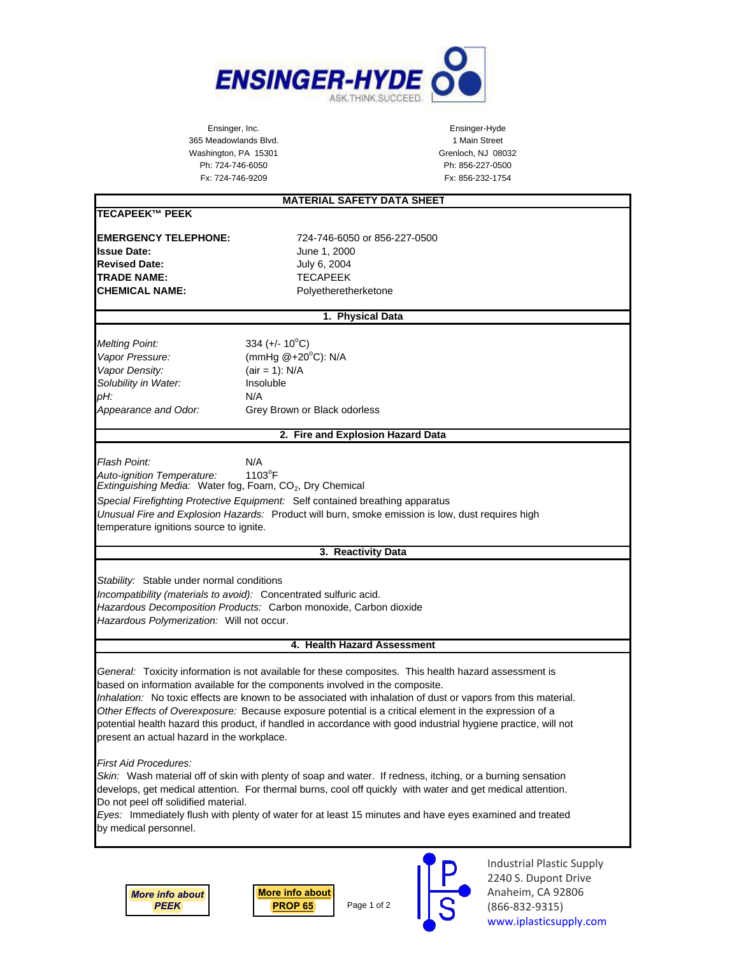

Ensinger, Inc. Ensinger-Hyde 365 Meadowlands Blvd. 1 Main Street Washington, PA 15301 Grenloch, NJ 08032 Ph: 724-746-6050 Ph: 856-227-0500

## Fx: 724-746-9209 Fx: 856-232-1754 **MATERIAL SAFETY DATA SHEET TECAPEEK™ PEEK EMERGENCY TELEPHONE:** 724-746-6050 or 856-227-0500 **Issue Date:** June 1, 2000 **Revised Date:** July 6, 2004 **TRADE NAME:** TECAPEEK **CHEMICAL NAME:** Polyetheretherketone **1. Physical Data Melting Point:** 334  $(+/- 10^{\circ}C)$ Vapor Pressure: (mmHg @+20°C): N/A *Vapor Density:* (air = 1): N/A *Solubility in Water:* Insoluble *pH:* N/A *Appearance and Odor:* Grey Brown or Black odorless **2. Fire and Explosion Hazard Data** *Flash Point:* N/A Auto-ignition Temperature:  $1103^{\circ}F$ *Extinguishing Media: Water fog, Foam, CO<sub>2</sub>, Dry Chemical Special Firefighting Protective Equipment:* Self contained breathing apparatus *Unusual Fire and Explosion Hazards:* Product will burn, smoke emission is low, dust requires high temperature ignitions source to ignite. **3. Reactivity Data** *Stability:* Stable under normal conditions *Incompatibility (materials to avoid):* Concentrated sulfuric acid. *Hazardous Decomposition Products:* Carbon monoxide, Carbon dioxide *Hazardous Polymerization:* Will not occur. **4. Health Hazard Assessment** *General:* Toxicity information is not available for these composites. This health hazard assessment is based on information available for the components involved in the composite. *Inhalation:* No toxic effects are known to be associated with inhalation of dust or vapors from this material. *Other Effects of Overexposure:* Because exposure potential is a critical element in the expression of a potential health hazard this product, if handled in accordance with good industrial hygiene practice, will not present an actual hazard in the workplace. *First Aid Procedures: Skin:* Wash material off of skin with plenty of soap and water. If redness, itching, or a burning sensation develops, get medical attention. For thermal burns, cool off quickly with water and get medical attention. Do not peel off solidified material. *Eyes:* Immediately flush with plenty of water for at least 15 minutes and have eyes examined and treated by medical personnel.

*[More info about](https://iplasticsupply.com/plastic-materials-list/peek-victrex-pekk-paek-polyetheretherketone-sheet-rod/) PEEK*

Page 1 of 2 **[More info about](https://iplasticsupply.com/ca-prop-65/) PROP 65**



Industrial Plastic Supply 2240 S. Dupont Drive Anaheim, CA 92806 (866-832-9315) [www.iplasticsupply.com](https://iplasticsupply.com)